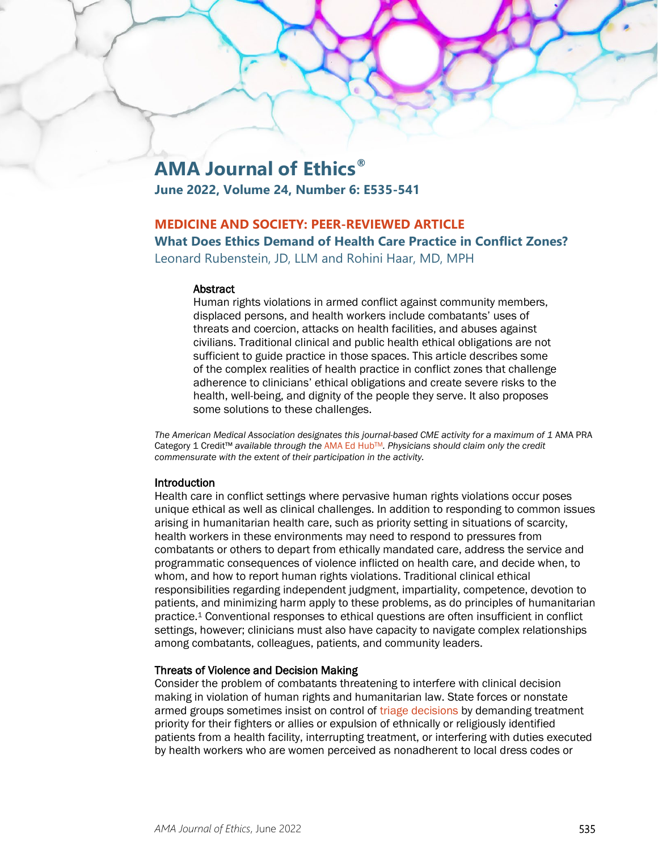# **AMA Journal of Ethics®**

**June 2022, Volume 24, Number 6: E535-541**

# **MEDICINE AND SOCIETY: PEER-REVIEWED ARTICLE**

**What Does Ethics Demand of Health Care Practice in Conflict Zones?**

Leonard Rubenstein, JD, LLM and Rohini Haar, MD, MPH

#### **Abstract**

Human rights violations in armed conflict against community members, displaced persons, and health workers include combatants' uses of threats and coercion, attacks on health facilities, and abuses against civilians. Traditional clinical and public health ethical obligations are not sufficient to guide practice in those spaces. This article describes some of the complex realities of health practice in conflict zones that challenge adherence to clinicians' ethical obligations and create severe risks to the health, well-being, and dignity of the people they serve. It also proposes some solutions to these challenges.

*The American Medical Association designates this journal-based CME activity for a maximum of 1* AMA PRA Category 1 Credit™ *available through the* [AMA Ed HubTM](https://edhub.ama-assn.org/ama-journal-of-ethics/module/2792398)*. Physicians should claim only the credit commensurate with the extent of their participation in the activity.*

## **Introduction**

Health care in conflict settings where pervasive human rights violations occur poses unique ethical as well as clinical challenges. In addition to responding to common issues arising in humanitarian health care, such as priority setting in situations of scarcity, health workers in these environments may need to respond to pressures from combatants or others to depart from ethically mandated care, address the service and programmatic consequences of violence inflicted on health care, and decide when, to whom, and how to report human rights violations. Traditional clinical ethical responsibilities regarding independent judgment, impartiality, competence, devotion to patients, and minimizing harm apply to these problems, as do principles of humanitarian practice.1 Conventional responses to ethical questions are often insufficient in conflict settings, however; clinicians must also have capacity to navigate complex relationships among combatants, colleagues, patients, and community leaders.

## Threats of Violence and Decision Making

Consider the problem of combatants threatening to interfere with clinical decision making in violation of human rights and humanitarian law. State forces or nonstate armed groups sometimes insist on control of [triage decisions](https://journalofethics.ama-assn.org/article/should-physician-ever-violate-swat-or-tems-protocol-mass-casualty-incident/2022-02) by demanding treatment priority for their fighters or allies or expulsion of ethnically or religiously identified patients from a health facility, interrupting treatment, or interfering with duties executed by health workers who are women perceived as nonadherent to local dress codes or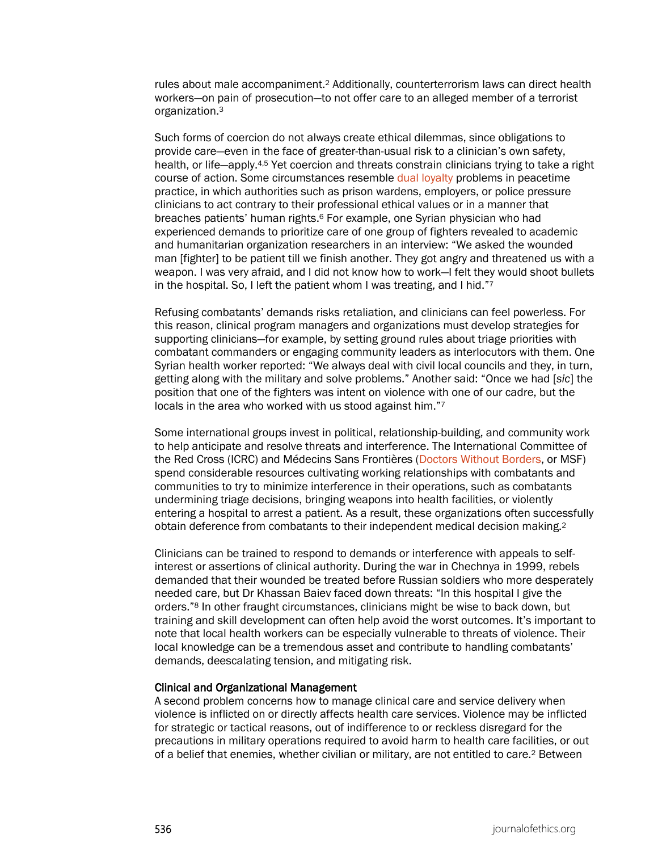rules about male accompaniment.2 Additionally, counterterrorism laws can direct health workers—on pain of prosecution—to not offer care to an alleged member of a terrorist organization.3

Such forms of coercion do not always create ethical dilemmas, since obligations to provide care—even in the face of greater-than-usual risk to a clinician's own safety, health, or life—apply.<sup>4,5</sup> Yet coercion and threats constrain clinicians trying to take a right course of action. Some circumstances resemble [dual loyalty](https://journalofethics.ama-assn.org/article/dual-loyalties-human-rights-violations-and-physician-complicity-apartheid-south-africa/2015-10) problems in peacetime practice, in which authorities such as prison wardens, employers, or police pressure clinicians to act contrary to their professional ethical values or in a manner that breaches patients' human rights.<sup>6</sup> For example, one Syrian physician who had experienced demands to prioritize care of one group of fighters revealed to academic and humanitarian organization researchers in an interview: "We asked the wounded man [fighter] to be patient till we finish another. They got angry and threatened us with a weapon. I was very afraid, and I did not know how to work—I felt they would shoot bullets in the hospital. So, I left the patient whom I was treating, and I hid."7

Refusing combatants' demands risks retaliation, and clinicians can feel powerless. For this reason, clinical program managers and organizations must develop strategies for supporting clinicians—for example, by setting ground rules about triage priorities with combatant commanders or engaging community leaders as interlocutors with them. One Syrian health worker reported: "We always deal with civil local councils and they, in turn, getting along with the military and solve problems." Another said: "Once we had [*sic*] the position that one of the fighters was intent on violence with one of our cadre, but the locals in the area who worked with us stood against him."7

Some international groups invest in political, relationship-building, and community work to help anticipate and resolve threats and interference. The International Committee of the Red Cross (ICRC) and Médecins Sans Frontières [\(Doctors Without Borders,](https://journalofethics.ama-assn.org/article/doctors-without-borders/1999-10) or MSF) spend considerable resources cultivating working relationships with combatants and communities to try to minimize interference in their operations, such as combatants undermining triage decisions, bringing weapons into health facilities, or violently entering a hospital to arrest a patient. As a result, these organizations often successfully obtain deference from combatants to their independent medical decision making.2

Clinicians can be trained to respond to demands or interference with appeals to selfinterest or assertions of clinical authority. During the war in Chechnya in 1999, rebels demanded that their wounded be treated before Russian soldiers who more desperately needed care, but Dr Khassan Baiev faced down threats: "In this hospital I give the orders."8 In other fraught circumstances, clinicians might be wise to back down, but training and skill development can often help avoid the worst outcomes. It's important to note that local health workers can be especially vulnerable to threats of violence. Their local knowledge can be a tremendous asset and contribute to handling combatants' demands, deescalating tension, and mitigating risk.

#### Clinical and Organizational Management

A second problem concerns how to manage clinical care and service delivery when violence is inflicted on or directly affects health care services. Violence may be inflicted for strategic or tactical reasons, out of indifference to or reckless disregard for the precautions in military operations required to avoid harm to health care facilities, or out of a belief that enemies, whether civilian or military, are not entitled to care.2 Between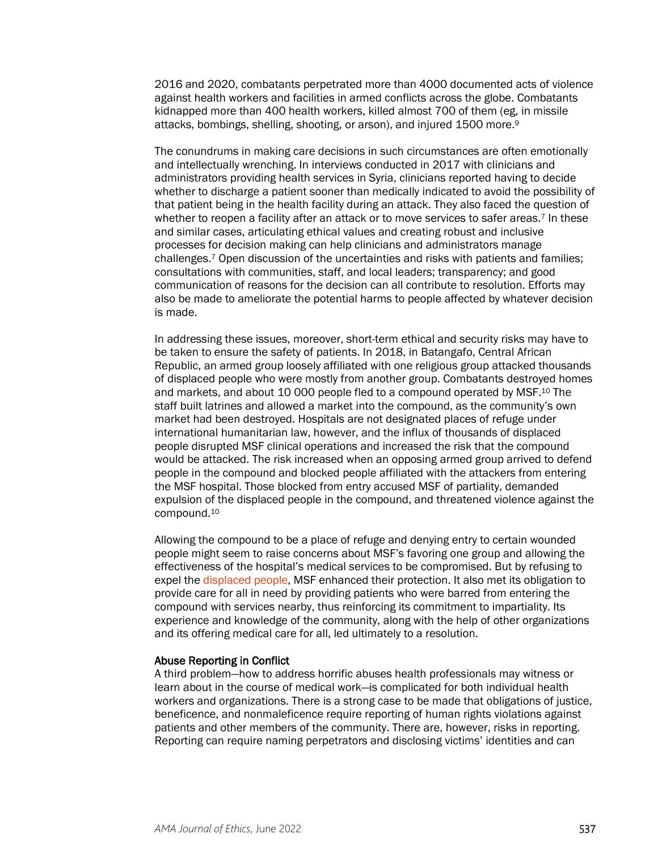2016 and 2020, combatants perpetrated more than 4000 documented acts of violence against health workers and facilities in armed conflicts across the globe. Combatants kidnapped more than 400 health workers, killed almost 700 of them (eg, in missile attacks, bombings, shelling, shooting, or arson), and injured 1500 more.9

The conundrums in making care decisions in such circumstances are often emotionally and intellectually wrenching. In interviews conducted in 2017 with clinicians and administrators providing health services in Syria, clinicians reported having to decide whether to discharge a patient sooner than medically indicated to avoid the possibility of that patient being in the health facility during an attack. They also faced the question of whether to reopen a facility after an attack or to move services to safer areas.<sup>7</sup> In these and similar cases, articulating ethical values and creating robust and inclusive processes for decision making can help clinicians and administrators manage challenges.7 Open discussion of the uncertainties and risks with patients and families; consultations with communities, staff, and local leaders; transparency; and good communication of reasons for the decision can all contribute to resolution. Efforts may also be made to ameliorate the potential harms to people affected by whatever decision is made.

In addressing these issues, moreover, short-term ethical and security risks may have to be taken to ensure the safety of patients. In 2018, in Batangafo, Central African Republic, an armed group loosely affiliated with one religious group attacked thousands of displaced people who were mostly from another group. Combatants destroyed homes and markets, and about 10 000 people fled to a compound operated by MSF.10 The staff built latrines and allowed a market into the compound, as the community's own market had been destroyed. Hospitals are not designated places of refuge under international humanitarian law, however, and the influx of thousands of displaced people disrupted MSF clinical operations and increased the risk that the compound would be attacked. The risk increased when an opposing armed group arrived to defend people in the compound and blocked people affiliated with the attackers from entering the MSF hospital. Those blocked from entry accused MSF of partiality, demanded expulsion of the displaced people in the compound, and threatened violence against the compound.10

Allowing the compound to be a place of refuge and denying entry to certain wounded people might seem to raise concerns about MSF's favoring one group and allowing the effectiveness of the hospital's medical services to be compromised. But by refusing to expel the [displaced people,](https://journalofethics.ama-assn.org/article/how-should-health-care-professionals-address-social-determinants-refugee-health/2019-03) MSF enhanced their protection. It also met its obligation to provide care for all in need by providing patients who were barred from entering the compound with services nearby, thus reinforcing its commitment to impartiality. Its experience and knowledge of the community, along with the help of other organizations and its offering medical care for all, led ultimately to a resolution.

#### Abuse Reporting in Conflict

A third problem—how to address horrific abuses health professionals may witness or learn about in the course of medical work—is complicated for both individual health workers and organizations. There is a strong case to be made that obligations of justice, beneficence, and nonmaleficence require reporting of human rights violations against patients and other members of the community. There are, however, risks in reporting. Reporting can require naming perpetrators and disclosing victims' identities and can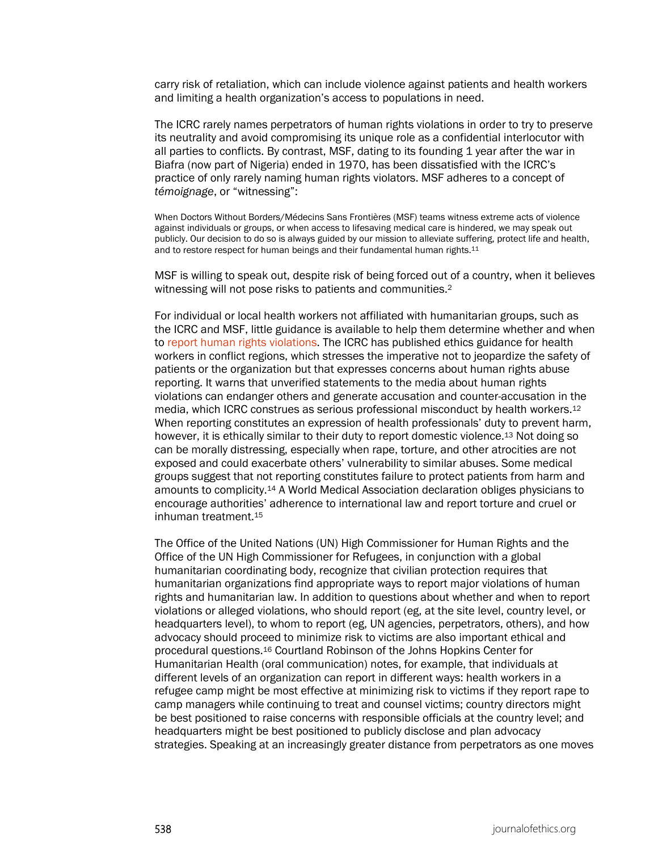carry risk of retaliation, which can include violence against patients and health workers and limiting a health organization's access to populations in need.

The ICRC rarely names perpetrators of human rights violations in order to try to preserve its neutrality and avoid compromising its unique role as a confidential interlocutor with all parties to conflicts. By contrast, MSF, dating to its founding 1 year after the war in Biafra (now part of Nigeria) ended in 1970, has been dissatisfied with the ICRC's practice of only rarely naming human rights violators. MSF adheres to a concept of *témoignage*, or "witnessing":

When Doctors Without Borders/Médecins Sans Frontières (MSF) teams witness extreme acts of violence against individuals or groups, or when access to lifesaving medical care is hindered, we may speak out publicly. Our decision to do so is always guided by our mission to alleviate suffering, protect life and health, and to restore respect for human beings and their fundamental human rights.<sup>11</sup>

MSF is willing to speak out, despite risk of being forced out of a country, when it believes witnessing will not pose risks to patients and communities.<sup>2</sup>

For individual or local health workers not affiliated with humanitarian groups, such as the ICRC and MSF, little guidance is available to help them determine whether and when to [report human rights violations.](https://journalofethics.ama-assn.org/article/mandatory-reporting-human-trafficking-potential-benefits-and-risks-harm/2017-01) The ICRC has published ethics guidance for health workers in conflict regions, which stresses the imperative not to jeopardize the safety of patients or the organization but that expresses concerns about human rights abuse reporting. It warns that unverified statements to the media about human rights violations can endanger others and generate accusation and counter-accusation in the media, which ICRC construes as serious professional misconduct by health workers.12 When reporting constitutes an expression of health professionals' duty to prevent harm, however, it is ethically similar to their duty to report domestic violence.13 Not doing so can be morally distressing, especially when rape, torture, and other atrocities are not exposed and could exacerbate others' vulnerability to similar abuses. Some medical groups suggest that not reporting constitutes failure to protect patients from harm and amounts to complicity.14 A World Medical Association declaration obliges physicians to encourage authorities' adherence to international law and report torture and cruel or inhuman treatment.15

The Office of the United Nations (UN) High Commissioner for Human Rights and the Office of the UN High Commissioner for Refugees, in conjunction with a global humanitarian coordinating body, recognize that civilian protection requires that humanitarian organizations find appropriate ways to report major violations of human rights and humanitarian law. In addition to questions about whether and when to report violations or alleged violations, who should report (eg, at the site level, country level, or headquarters level), to whom to report (eg, UN agencies, perpetrators, others), and how advocacy should proceed to minimize risk to victims are also important ethical and procedural questions.16 Courtland Robinson of the Johns Hopkins Center for Humanitarian Health (oral communication) notes, for example, that individuals at different levels of an organization can report in different ways: health workers in a refugee camp might be most effective at minimizing risk to victims if they report rape to camp managers while continuing to treat and counsel victims; country directors might be best positioned to raise concerns with responsible officials at the country level; and headquarters might be best positioned to publicly disclose and plan advocacy strategies. Speaking at an increasingly greater distance from perpetrators as one moves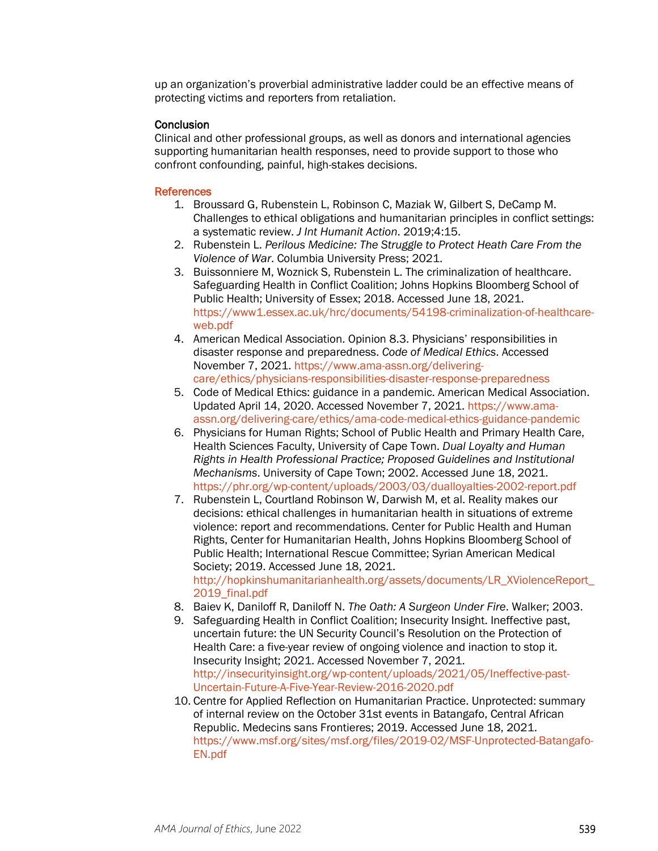up an organization's proverbial administrative ladder could be an effective means of protecting victims and reporters from retaliation.

## **Conclusion**

Clinical and other professional groups, as well as donors and international agencies supporting humanitarian health responses, need to provide support to those who confront confounding, painful, high-stakes decisions.

### **References**

- 1. Broussard G, Rubenstein L, Robinson C, Maziak W, Gilbert S, DeCamp M. Challenges to ethical obligations and humanitarian principles in conflict settings: a systematic review. *J Int Humanit Action*. 2019;4:15.
- 2. Rubenstein L. *Perilous Medicine: The Struggle to Protect Heath Care From the Violence of War*. Columbia University Press; 2021.
- 3. Buissonniere M, Woznick S, Rubenstein L. The criminalization of healthcare. Safeguarding Health in Conflict Coalition; Johns Hopkins Bloomberg School of Public Health; University of Essex; 2018. Accessed June 18, 2021. [https://www1.essex.ac.uk/hrc/documents/54198-criminalization-of-healthcare](https://www1.essex.ac.uk/hrc/documents/54198-criminalization-of-healthcare-web.pdf)[web.pdf](https://www1.essex.ac.uk/hrc/documents/54198-criminalization-of-healthcare-web.pdf)
- 4. American Medical Association. Opinion 8.3. Physicians' responsibilities in disaster response and preparedness. *Code of Medical Ethics*. Accessed November 7, 2021. [https://www.ama-assn.org/delivering](https://www.ama-assn.org/delivering-care/ethics/physicians-responsibilities-disaster-response-preparedness)[care/ethics/physicians-responsibilities-disaster-response-preparedness](https://www.ama-assn.org/delivering-care/ethics/physicians-responsibilities-disaster-response-preparedness)
- 5. Code of Medical Ethics: guidance in a pandemic. American Medical Association. Updated April 14, 2020. Accessed November 7, 2021. [https://www.ama](https://www.ama-assn.org/delivering-care/ethics/ama-code-medical-ethics-guidance-pandemic)[assn.org/delivering-care/ethics/ama-code-medical-ethics-guidance-pandemic](https://www.ama-assn.org/delivering-care/ethics/ama-code-medical-ethics-guidance-pandemic)
- 6. Physicians for Human Rights; School of Public Health and Primary Health Care, Health Sciences Faculty, University of Cape Town. *Dual Loyalty and Human Rights in Health Professional Practice; Proposed Guidelines and Institutional Mechanisms*. University of Cape Town; 2002. Accessed June 18, 2021. <https://phr.org/wp-content/uploads/2003/03/dualloyalties-2002-report.pdf>
- 7. Rubenstein L, Courtland Robinson W, Darwish M, et al. Reality makes our decisions: ethical challenges in humanitarian health in situations of extreme violence: report and recommendations. Center for Public Health and Human Rights, Center for Humanitarian Health, Johns Hopkins Bloomberg School of Public Health; International Rescue Committee; Syrian American Medical Society; 2019. Accessed June 18, 2021. [http://hopkinshumanitarianhealth.org/assets/documents/LR\\_XViolenceReport\\_](http://hopkinshumanitarianhealth.org/assets/documents/LR_XViolenceReport_2019_final.pdf) 2019 final.pdf
- 8. Baiev K, Daniloff R, Daniloff N. *The Oath: A Surgeon Under Fire*. Walker; 2003.
- 9. Safeguarding Health in Conflict Coalition; Insecurity Insight. Ineffective past, uncertain future: the UN Security Council's Resolution on the Protection of Health Care: a five-year review of ongoing violence and inaction to stop it. Insecurity Insight; 2021. Accessed November 7, 2021. [http://insecurityinsight.org/wp-content/uploads/2021/05/Ineffective-past-](http://insecurityinsight.org/wp-content/uploads/2021/05/Ineffective-past-Uncertain-Future-A-Five-Year-Review-2016-2020.pdf)[Uncertain-Future-A-Five-Year-Review-2016-2020.pdf](http://insecurityinsight.org/wp-content/uploads/2021/05/Ineffective-past-Uncertain-Future-A-Five-Year-Review-2016-2020.pdf)
- 10. Centre for Applied Reflection on Humanitarian Practice. Unprotected: summary of internal review on the October 31st events in Batangafo, Central African Republic. Medecins sans Frontieres; 2019. Accessed June 18, 2021. [https://www.msf.org/sites/msf.org/files/2019-02/MSF-Unprotected-Batangafo-](https://www.msf.org/sites/msf.org/files/2019-02/MSF-Unprotected-Batangafo-EN.pdf)[EN.pdf](https://www.msf.org/sites/msf.org/files/2019-02/MSF-Unprotected-Batangafo-EN.pdf)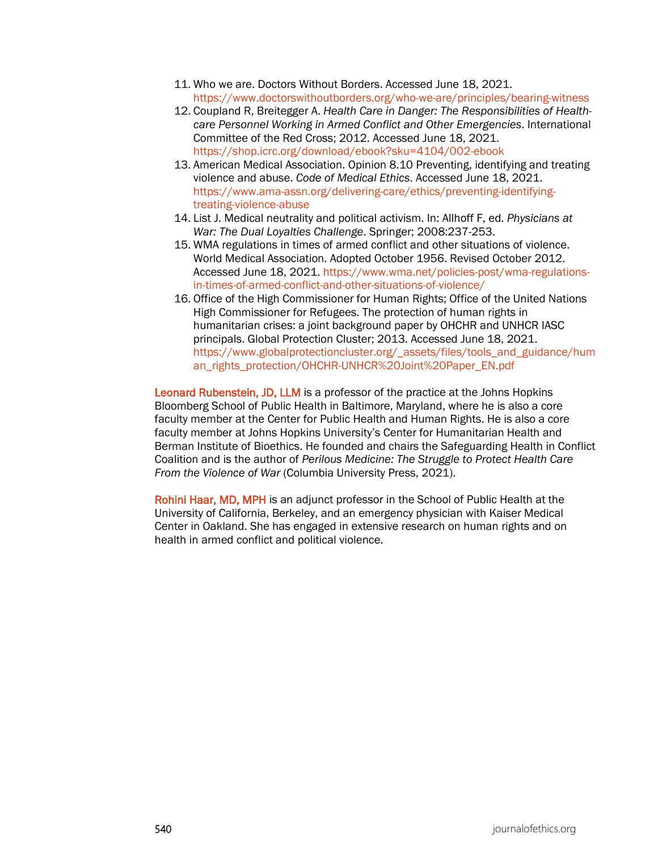- 11. Who we are. Doctors Without Borders. Accessed June 18, 2021. <https://www.doctorswithoutborders.org/who-we-are/principles/bearing-witness>
- 12. Coupland R, Breitegger A. *Health Care in Danger: The Responsibilities of Healthcare Personnel Working in Armed Conflict and Other Emergencies*. International Committee of the Red Cross; 2012. Accessed June 18, 2021. <https://shop.icrc.org/download/ebook?sku=4104/002-ebook>
- 13. American Medical Association. Opinion 8.10 Preventing, identifying and treating violence and abuse. *Code of Medical Ethics*. Accessed June 18, 2021. [https://www.ama-assn.org/delivering-care/ethics/preventing-identifying](https://www.ama-assn.org/delivering-care/ethics/preventing-identifying-treating-violence-abuse)[treating-violence-abuse](https://www.ama-assn.org/delivering-care/ethics/preventing-identifying-treating-violence-abuse)
- 14. List J. Medical neutrality and political activism. In: Allhoff F, ed. *Physicians at War: The Dual Loyalties Challenge*. Springer; 2008:237-253.
- 15. WMA regulations in times of armed conflict and other situations of violence. World Medical Association. Adopted October 1956. Revised October 2012. Accessed June 18, 2021[. https://www.wma.net/policies-post/wma-regulations](https://www.wma.net/policies-post/wma-regulations-in-times-of-armed-conflict-and-other-situations-of-violence/)[in-times-of-armed-conflict-and-other-situations-of-violence/](https://www.wma.net/policies-post/wma-regulations-in-times-of-armed-conflict-and-other-situations-of-violence/)
- 16. Office of the High Commissioner for Human Rights; Office of the United Nations High Commissioner for Refugees. The protection of human rights in humanitarian crises: a joint background paper by OHCHR and UNHCR IASC principals. Global Protection Cluster; 2013. Accessed June 18, 2021. [https://www.globalprotectioncluster.org/\\_assets/files/tools\\_and\\_guidance/hum](https://www.globalprotectioncluster.org/_assets/files/tools_and_guidance/human_rights_protection/OHCHR-UNHCR%20Joint%20Paper_EN.pdf) [an\\_rights\\_protection/OHCHR-UNHCR%20Joint%20Paper\\_EN.pdf](https://www.globalprotectioncluster.org/_assets/files/tools_and_guidance/human_rights_protection/OHCHR-UNHCR%20Joint%20Paper_EN.pdf)

Leonard Rubenstein, JD, LLM is a professor of the practice at the Johns Hopkins Bloomberg School of Public Health in Baltimore, Maryland, where he is also a core faculty member at the Center for Public Health and Human Rights. He is also a core faculty member at Johns Hopkins University's Center for Humanitarian Health and Berman Institute of Bioethics. He founded and chairs the Safeguarding Health in Conflict Coalition and is the author of *Perilous Medicine: The Struggle to Protect Health Care From the Violence of War* (Columbia University Press, 2021).

Rohini Haar, MD, MPH is an adjunct professor in the School of Public Health at the University of California, Berkeley, and an emergency physician with Kaiser Medical Center in Oakland. She has engaged in extensive research on human rights and on health in armed conflict and political violence.